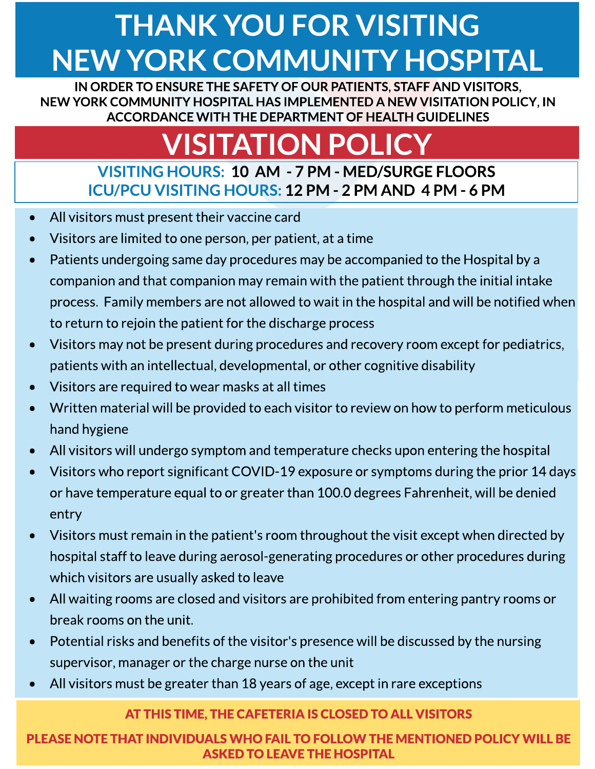## **THANK YOU FOR VISITING** NEW YORK COMMUNITY HOSPITAL

IN ORDER TO ENSURE THE SAFETY OF OUR PATIENTS, STAFF AND VISITORS, NEW YORK COMMUNITY HOSPITAL HASIMPLEMENTED A NEW VISITATION POLICY, IN ACCORDANCE WITH THE DEPARTMENT OF HEALTH GUIDELINES

# **VISITATION POLIC**

### VISITINGHOURS: 10 AM - 7 PM - MED/SURGEFLOORS ICU/PCU VISITINGHOURS: 12 PM - 2 PM AND 4 PM - 6 PM

- All visitors must present their vaccine card
- Visitors are limited to one person, per patient, at a time
- Patients undergoing same day procedures may be accompanied to the Hospital by a companion and that companion may remain with the patient through the initial intake process. Family members are not allowed to wait in the hospital and will be notified when to return to rejoin the patient for the discharge process
- Visitors may not be present during procedures and recovery room except for pediatrics, patients with an intellectual, developmental, or other cognitive disability
- Visitors are required to wear masks at all times
- Written material will be provided to each visitor to review on how to perform meticulous hand hygiene
- All visitors will undergo symptom and temperature checks upon entering the hospital
- Visitors who report significant COVID-19 exposure or symptoms during the prior 14 days or have temperature equal to or greater than 100.0 degrees Fahrenheit, will be denied entry
- Visitors must remain in the patient's room throughout the visit except when directed by hospital staff to leave during aerosol-generating procedures or other procedures during which visitors are usually asked to leave
- All waiting roomsare closed and visitorsare prohibited from entering pantry roomsor break rooms on the unit.
- Potential risks and benefits of the visitor's presence will be discussed by the nursing supervisor, manager or the charge nurse on the unit
- All visitors must be greater than 18 years of age, except in rare exceptions

#### AT THIS TIME, THE CAFETERIA IS CLOSED TO ALL VISITORS

PLEASE NOTE THAT INDIVIDUALS WHO FAIL TO FOLLOW THE MENTIONED POLICY WILL BE **ASKED TO LEAVE THE HOSPITAL**